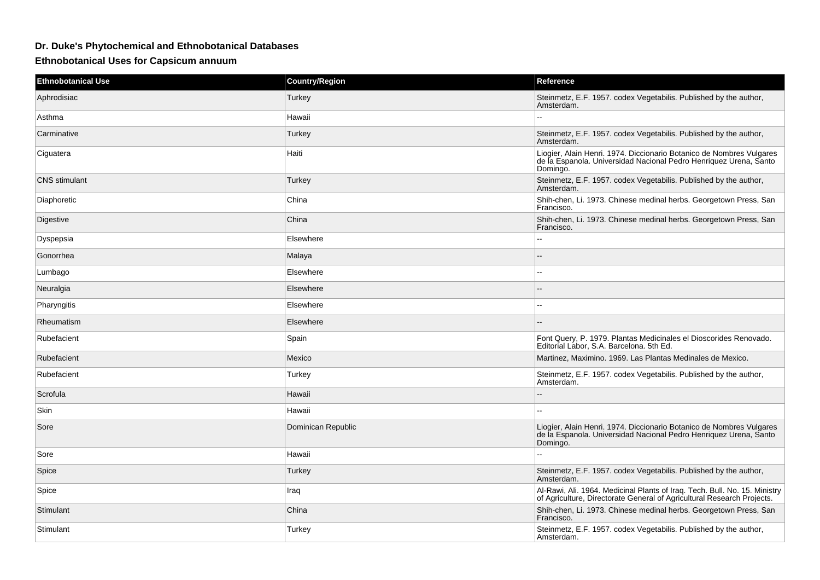## **Dr. Duke's Phytochemical and Ethnobotanical Databases**

**Ethnobotanical Uses for Capsicum annuum**

| <b>Ethnobotanical Use</b> | <b>Country/Region</b> | Reference                                                                                                                                             |
|---------------------------|-----------------------|-------------------------------------------------------------------------------------------------------------------------------------------------------|
| Aphrodisiac               | Turkey                | Steinmetz, E.F. 1957. codex Vegetabilis. Published by the author,<br>Amsterdam.                                                                       |
| Asthma                    | Hawaii                |                                                                                                                                                       |
| Carminative               | Turkey                | Steinmetz, E.F. 1957. codex Vegetabilis. Published by the author,<br>Amsterdam.                                                                       |
| Ciguatera                 | Haiti                 | Liogier, Alain Henri. 1974. Diccionario Botanico de Nombres Vulgares<br>de la Espanola. Universidad Nacional Pedro Henriquez Urena, Santo<br>Domingo. |
| <b>CNS</b> stimulant      | Turkey                | Steinmetz, E.F. 1957. codex Vegetabilis. Published by the author,<br>Amsterdam.                                                                       |
| Diaphoretic               | China                 | Shih-chen, Li. 1973. Chinese medinal herbs. Georgetown Press, San<br>Francisco.                                                                       |
| Digestive                 | China                 | Shih-chen, Li. 1973. Chinese medinal herbs. Georgetown Press, San<br>Francisco.                                                                       |
| Dyspepsia                 | Elsewhere             | $\sim$                                                                                                                                                |
| Gonorrhea                 | Malaya                | --                                                                                                                                                    |
| Lumbago                   | Elsewhere             | $\sim$                                                                                                                                                |
| Neuralgia                 | Elsewhere             | --                                                                                                                                                    |
| Pharyngitis               | Elsewhere             | $-$                                                                                                                                                   |
| Rheumatism                | Elsewhere             |                                                                                                                                                       |
| Rubefacient               | Spain                 | Font Query, P. 1979. Plantas Medicinales el Dioscorides Renovado.<br>Editorial Labor, S.A. Barcelona. 5th Ed.                                         |
| Rubefacient               | Mexico                | Martinez, Maximino. 1969. Las Plantas Medinales de Mexico.                                                                                            |
| Rubefacient               | Turkey                | Steinmetz, E.F. 1957. codex Vegetabilis. Published by the author,<br>Amsterdam.                                                                       |
| Scrofula                  | Hawaii                |                                                                                                                                                       |
| Skin                      | Hawaii                |                                                                                                                                                       |
| Sore                      | Dominican Republic    | Liogier, Alain Henri. 1974. Diccionario Botanico de Nombres Vulgares<br>de la Espanola. Universidad Nacional Pedro Henriquez Urena, Santo<br>Domingo. |
| Sore                      | Hawaii                |                                                                                                                                                       |
| Spice                     | Turkey                | Steinmetz, E.F. 1957. codex Vegetabilis. Published by the author,<br>Amsterdam.                                                                       |
| Spice                     | Iraq                  | Al-Rawi, Ali. 1964. Medicinal Plants of Iraq. Tech. Bull. No. 15. Ministry<br>of Agriculture, Directorate General of Agricultural Research Projects.  |
| Stimulant                 | China                 | Shih-chen, Li. 1973. Chinese medinal herbs. Georgetown Press, San<br>Francisco.                                                                       |
| Stimulant                 | Turkey                | Steinmetz, E.F. 1957. codex Vegetabilis. Published by the author,<br>Amsterdam.                                                                       |